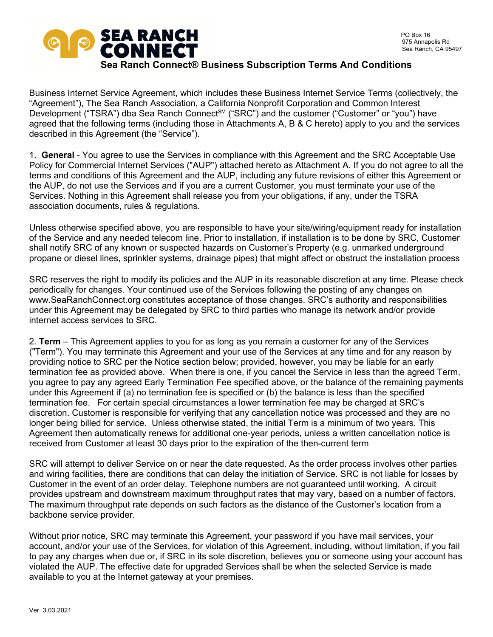

#### **Sea Ranch Connect® Business Subscription Terms And Conditions**

Business Internet Service Agreement, which includes these Business Internet Service Terms (collectively, the "Agreement"), The Sea Ranch Association, a California Nonprofit Corporation and Common Interest Development ("TSRA") dba Sea Ranch Connect<sup>sM</sup> ("SRC") and the customer ("Customer" or "you") have agreed that the following terms (including those in Attachments A, B & C hereto) apply to you and the services described in this Agreement (the "Service").

1. **General** - You agree to use the Services in compliance with this Agreement and the SRC Acceptable Use Policy for Commercial Internet Services ("AUP") attached hereto as Attachment A. If you do not agree to all the terms and conditions of this Agreement and the AUP, including any future revisions of either this Agreement or the AUP, do not use the Services and if you are a current Customer, you must terminate your use of the Services. Nothing in this Agreement shall release you from your obligations, if any, under the TSRA association documents, rules & regulations.

Unless otherwise specified above, you are responsible to have your site/wiring/equipment ready for installation of the Service and any needed telecom line. Prior to installation, if installation is to be done by SRC, Customer shall notify SRC of any known or suspected hazards on Customer's Property (e.g. unmarked underground propane or diesel lines, sprinkler systems, drainage pipes) that might affect or obstruct the installation process

SRC reserves the right to modify its policies and the AUP in its reasonable discretion at any time. Please check periodically for changes. Your continued use of the Services following the posting of any changes on www.SeaRanchConnect.org constitutes acceptance of those changes. SRC's authority and responsibilities under this Agreement may be delegated by SRC to third parties who manage its network and/or provide internet access services to SRC.

2. **Term** – This Agreement applies to you for as long as you remain a customer for any of the Services ("Term"). You may terminate this Agreement and your use of the Services at any time and for any reason by providing notice to SRC per the Notice section below; provided, however, you may be liable for an early termination fee as provided above. When there is one, if you cancel the Service in less than the agreed Term, you agree to pay any agreed Early Termination Fee specified above, or the balance of the remaining payments under this Agreement if (a) no termination fee is specified or (b) the balance is less than the specified termination fee. For certain special circumstances a lower termination fee may be charged at SRC's discretion. Customer is responsible for verifying that any cancellation notice was processed and they are no longer being billed for service. Unless otherwise stated, the initial Term is a minimum of two years. This Agreement then automatically renews for additional one-year periods, unless a written cancellation notice is received from Customer at least 30 days prior to the expiration of the then-current term

SRC will attempt to deliver Service on or near the date requested. As the order process involves other parties and wiring facilities, there are conditions that can delay the initiation of Service. SRC is not liable for losses by Customer in the event of an order delay. Telephone numbers are not guaranteed until working. A circuit provides upstream and downstream maximum throughput rates that may vary, based on a number of factors. The maximum throughput rate depends on such factors as the distance of the Customer's location from a backbone service provider.

Without prior notice, SRC may terminate this Agreement, your password if you have mail services, your account, and/or your use of the Services, for violation of this Agreement, including, without limitation, if you fail to pay any charges when due or, if SRC in its sole discretion, believes you or someone using your account has violated the AUP. The effective date for upgraded Services shall be when the selected Service is made available to you at the Internet gateway at your premises.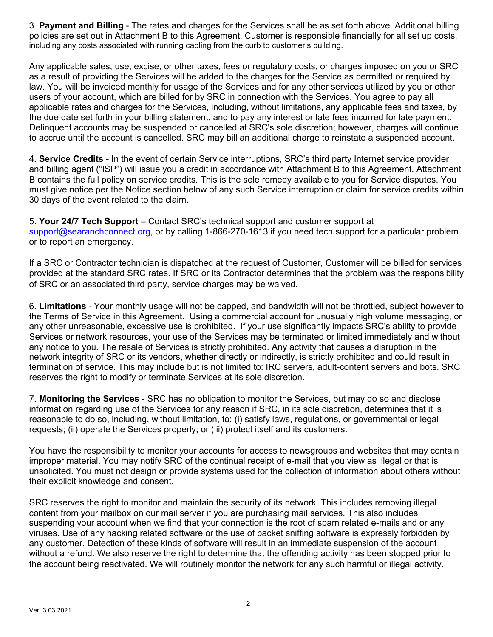3. **Payment and Billing** - The rates and charges for the Services shall be as set forth above. Additional billing policies are set out in Attachment B to this Agreement. Customer is responsible financially for all set up costs, including any costs associated with running cabling from the curb to customer's building.

Any applicable sales, use, excise, or other taxes, fees or regulatory costs, or charges imposed on you or SRC as a result of providing the Services will be added to the charges for the Service as permitted or required by law. You will be invoiced monthly for usage of the Services and for any other services utilized by you or other users of your account, which are billed for by SRC in connection with the Services. You agree to pay all applicable rates and charges for the Services, including, without limitations, any applicable fees and taxes, by the due date set forth in your billing statement, and to pay any interest or late fees incurred for late payment. Delinquent accounts may be suspended or cancelled at SRC's sole discretion; however, charges will continue to accrue until the account is cancelled. SRC may bill an additional charge to reinstate a suspended account.

4. **Service Credits** - In the event of certain Service interruptions, SRC's third party Internet service provider and billing agent ("ISP") will issue you a credit in accordance with Attachment B to this Agreement. Attachment B contains the full policy on service credits. This is the sole remedy available to you for Service disputes. You must give notice per the Notice section below of any such Service interruption or claim for service credits within 30 days of the event related to the claim.

5. **Your 24/7 Tech Support** – Contact SRC's technical support and customer support at support@searanchconnect.org, or by calling 1-866-270-1613 if you need tech support for a particular problem or to report an emergency.

If a SRC or Contractor technician is dispatched at the request of Customer, Customer will be billed for services provided at the standard SRC rates. If SRC or its Contractor determines that the problem was the responsibility of SRC or an associated third party, service charges may be waived.

6. **Limitations** - Your monthly usage will not be capped, and bandwidth will not be throttled, subject however to the Terms of Service in this Agreement. Using a commercial account for unusually high volume messaging, or any other unreasonable, excessive use is prohibited. If your use significantly impacts SRC's ability to provide Services or network resources, your use of the Services may be terminated or limited immediately and without any notice to you. The resale of Services is strictly prohibited. Any activity that causes a disruption in the network integrity of SRC or its vendors, whether directly or indirectly, is strictly prohibited and could result in termination of service. This may include but is not limited to: IRC servers, adult-content servers and bots. SRC reserves the right to modify or terminate Services at its sole discretion.

7. **Monitoring the Services** - SRC has no obligation to monitor the Services, but may do so and disclose information regarding use of the Services for any reason if SRC, in its sole discretion, determines that it is reasonable to do so, including, without limitation, to: (i) satisfy laws, regulations, or governmental or legal requests; (ii) operate the Services properly; or (iii) protect itself and its customers.

You have the responsibility to monitor your accounts for access to newsgroups and websites that may contain improper material. You may notify SRC of the continual receipt of e-mail that you view as illegal or that is unsolicited. You must not design or provide systems used for the collection of information about others without their explicit knowledge and consent.

SRC reserves the right to monitor and maintain the security of its network. This includes removing illegal content from your mailbox on our mail server if you are purchasing mail services. This also includes suspending your account when we find that your connection is the root of spam related e-mails and or any viruses. Use of any hacking related software or the use of packet sniffing software is expressly forbidden by any customer. Detection of these kinds of software will result in an immediate suspension of the account without a refund. We also reserve the right to determine that the offending activity has been stopped prior to the account being reactivated. We will routinely monitor the network for any such harmful or illegal activity.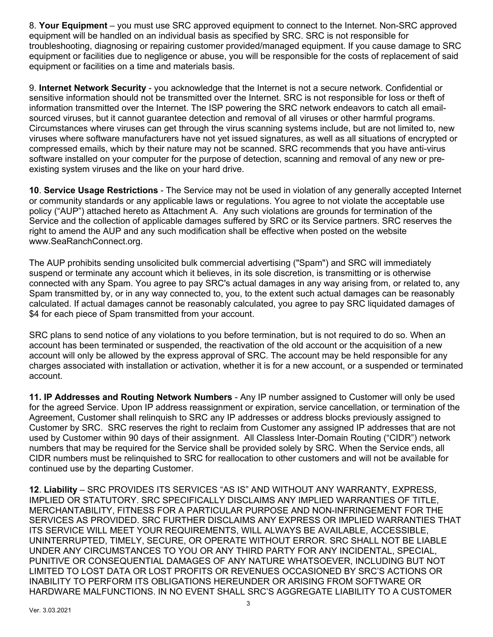8. **Your Equipment** – you must use SRC approved equipment to connect to the Internet. Non-SRC approved equipment will be handled on an individual basis as specified by SRC. SRC is not responsible for troubleshooting, diagnosing or repairing customer provided/managed equipment. If you cause damage to SRC equipment or facilities due to negligence or abuse, you will be responsible for the costs of replacement of said equipment or facilities on a time and materials basis.

9. **Internet Network Security** - you acknowledge that the Internet is not a secure network. Confidential or sensitive information should not be transmitted over the Internet. SRC is not responsible for loss or theft of information transmitted over the Internet. The ISP powering the SRC network endeavors to catch all emailsourced viruses, but it cannot guarantee detection and removal of all viruses or other harmful programs. Circumstances where viruses can get through the virus scanning systems include, but are not limited to, new viruses where software manufacturers have not yet issued signatures, as well as all situations of encrypted or compressed emails, which by their nature may not be scanned. SRC recommends that you have anti-virus software installed on your computer for the purpose of detection, scanning and removal of any new or preexisting system viruses and the like on your hard drive.

**10**. **Service Usage Restrictions** - The Service may not be used in violation of any generally accepted Internet or community standards or any applicable laws or regulations. You agree to not violate the acceptable use policy ("AUP") attached hereto as Attachment A. Any such violations are grounds for termination of the Service and the collection of applicable damages suffered by SRC or its Service partners. SRC reserves the right to amend the AUP and any such modification shall be effective when posted on the website www.SeaRanchConnect.org.

The AUP prohibits sending unsolicited bulk commercial advertising ("Spam") and SRC will immediately suspend or terminate any account which it believes, in its sole discretion, is transmitting or is otherwise connected with any Spam. You agree to pay SRC's actual damages in any way arising from, or related to, any Spam transmitted by, or in any way connected to, you, to the extent such actual damages can be reasonably calculated. If actual damages cannot be reasonably calculated, you agree to pay SRC liquidated damages of \$4 for each piece of Spam transmitted from your account.

SRC plans to send notice of any violations to you before termination, but is not required to do so. When an account has been terminated or suspended, the reactivation of the old account or the acquisition of a new account will only be allowed by the express approval of SRC. The account may be held responsible for any charges associated with installation or activation, whether it is for a new account, or a suspended or terminated account.

**11. IP Addresses and Routing Network Numbers** - Any IP number assigned to Customer will only be used for the agreed Service. Upon IP address reassignment or expiration, service cancellation, or termination of the Agreement, Customer shall relinquish to SRC any IP addresses or address blocks previously assigned to Customer by SRC. SRC reserves the right to reclaim from Customer any assigned IP addresses that are not used by Customer within 90 days of their assignment. All Classless Inter-Domain Routing ("CIDR") network numbers that may be required for the Service shall be provided solely by SRC. When the Service ends, all CIDR numbers must be relinquished to SRC for reallocation to other customers and will not be available for continued use by the departing Customer.

**12**. **Liability** – SRC PROVIDES ITS SERVICES "AS IS" AND WITHOUT ANY WARRANTY, EXPRESS, IMPLIED OR STATUTORY. SRC SPECIFICALLY DISCLAIMS ANY IMPLIED WARRANTIES OF TITLE, MERCHANTABILITY, FITNESS FOR A PARTICULAR PURPOSE AND NON-INFRINGEMENT FOR THE SERVICES AS PROVIDED. SRC FURTHER DISCLAIMS ANY EXPRESS OR IMPLIED WARRANTIES THAT ITS SERVICE WILL MEET YOUR REQUIREMENTS, WILL ALWAYS BE AVAILABLE, ACCESSIBLE, UNINTERRUPTED, TIMELY, SECURE, OR OPERATE WITHOUT ERROR. SRC SHALL NOT BE LIABLE UNDER ANY CIRCUMSTANCES TO YOU OR ANY THIRD PARTY FOR ANY INCIDENTAL, SPECIAL, PUNITIVE OR CONSEQUENTIAL DAMAGES OF ANY NATURE WHATSOEVER, INCLUDING BUT NOT LIMITED TO LOST DATA OR LOST PROFITS OR REVENUES OCCASIONED BY SRC'S ACTIONS OR INABILITY TO PERFORM ITS OBLIGATIONS HEREUNDER OR ARISING FROM SOFTWARE OR HARDWARE MALFUNCTIONS. IN NO EVENT SHALL SRC'S AGGREGATE LIABILITY TO A CUSTOMER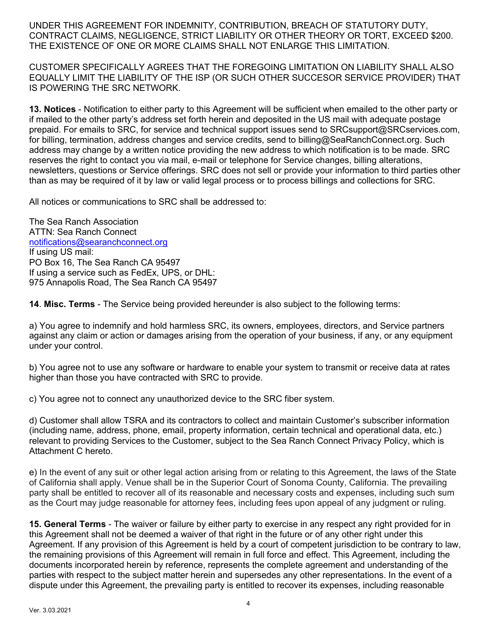UNDER THIS AGREEMENT FOR INDEMNITY, CONTRIBUTION, BREACH OF STATUTORY DUTY, CONTRACT CLAIMS, NEGLIGENCE, STRICT LIABILITY OR OTHER THEORY OR TORT, EXCEED \$200. THE EXISTENCE OF ONE OR MORE CLAIMS SHALL NOT ENLARGE THIS LIMITATION.

CUSTOMER SPECIFICALLY AGREES THAT THE FOREGOING LIMITATION ON LIABILITY SHALL ALSO EQUALLY LIMIT THE LIABILITY OF THE ISP (OR SUCH OTHER SUCCESOR SERVICE PROVIDER) THAT IS POWERING THE SRC NETWORK.

**13. Notices** - Notification to either party to this Agreement will be sufficient when emailed to the other party or if mailed to the other party's address set forth herein and deposited in the US mail with adequate postage prepaid. For emails to SRC, for service and technical support issues send to SRCsupport@SRCservices.com, for billing, termination, address changes and service credits, send to billing@SeaRanchConnect.org. Such address may change by a written notice providing the new address to which notification is to be made. SRC reserves the right to contact you via mail, e-mail or telephone for Service changes, billing alterations, newsletters, questions or Service offerings. SRC does not sell or provide your information to third parties other than as may be required of it by law or valid legal process or to process billings and collections for SRC.

All notices or communications to SRC shall be addressed to:

The Sea Ranch Association ATTN: Sea Ranch Connect notifications@searanchconnect.org If using US mail: PO Box 16, The Sea Ranch CA 95497 If using a service such as FedEx, UPS, or DHL: 975 Annapolis Road, The Sea Ranch CA 95497

**14**. **Misc. Terms** - The Service being provided hereunder is also subject to the following terms:

a) You agree to indemnify and hold harmless SRC, its owners, employees, directors, and Service partners against any claim or action or damages arising from the operation of your business, if any, or any equipment under your control.

b) You agree not to use any software or hardware to enable your system to transmit or receive data at rates higher than those you have contracted with SRC to provide.

c) You agree not to connect any unauthorized device to the SRC fiber system.

d) Customer shall allow TSRA and its contractors to collect and maintain Customer's subscriber information (including name, address, phone, email, property information, certain technical and operational data, etc.) relevant to providing Services to the Customer, subject to the Sea Ranch Connect Privacy Policy, which is Attachment C hereto.

e) In the event of any suit or other legal action arising from or relating to this Agreement, the laws of the State of California shall apply. Venue shall be in the Superior Court of Sonoma County, California. The prevailing party shall be entitled to recover all of its reasonable and necessary costs and expenses, including such sum as the Court may judge reasonable for attorney fees, including fees upon appeal of any judgment or ruling.

**15. General Terms** - The waiver or failure by either party to exercise in any respect any right provided for in this Agreement shall not be deemed a waiver of that right in the future or of any other right under this Agreement. If any provision of this Agreement is held by a court of competent jurisdiction to be contrary to law, the remaining provisions of this Agreement will remain in full force and effect. This Agreement, including the documents incorporated herein by reference, represents the complete agreement and understanding of the parties with respect to the subject matter herein and supersedes any other representations. In the event of a dispute under this Agreement, the prevailing party is entitled to recover its expenses, including reasonable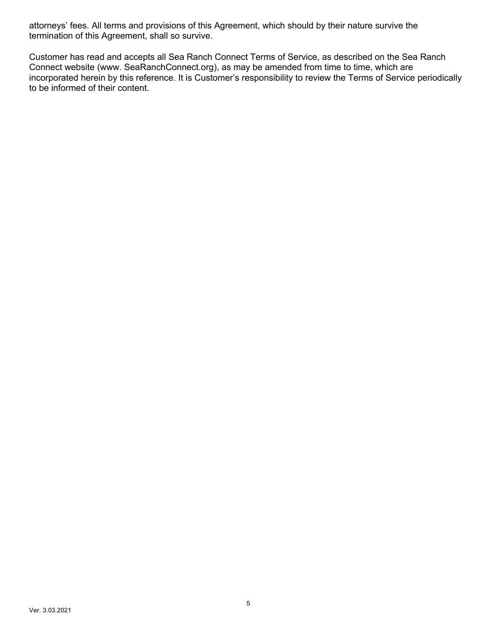attorneys' fees. All terms and provisions of this Agreement, which should by their nature survive the termination of this Agreement, shall so survive.

Customer has read and accepts all Sea Ranch Connect Terms of Service, as described on the Sea Ranch Connect website (www. SeaRanchConnect.org), as may be amended from time to time, which are incorporated herein by this reference. It is Customer's responsibility to review the Terms of Service periodically to be informed of their content.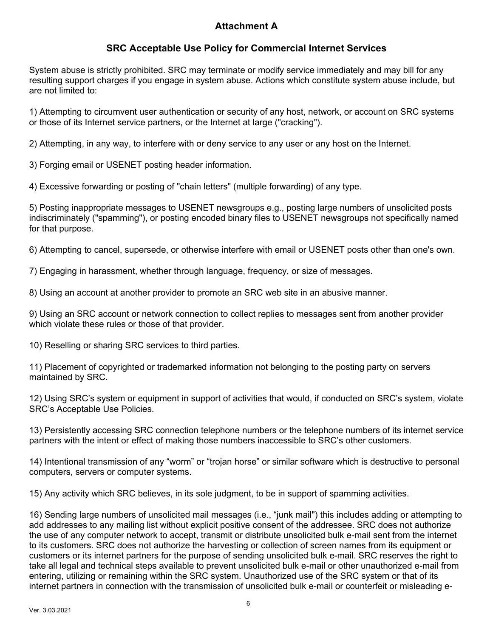# **Attachment A**

# **SRC Acceptable Use Policy for Commercial Internet Services**

System abuse is strictly prohibited. SRC may terminate or modify service immediately and may bill for any resulting support charges if you engage in system abuse. Actions which constitute system abuse include, but are not limited to:

1) Attempting to circumvent user authentication or security of any host, network, or account on SRC systems or those of its Internet service partners, or the Internet at large ("cracking").

2) Attempting, in any way, to interfere with or deny service to any user or any host on the Internet.

3) Forging email or USENET posting header information.

4) Excessive forwarding or posting of "chain letters" (multiple forwarding) of any type.

5) Posting inappropriate messages to USENET newsgroups e.g., posting large numbers of unsolicited posts indiscriminately ("spamming"), or posting encoded binary files to USENET newsgroups not specifically named for that purpose.

6) Attempting to cancel, supersede, or otherwise interfere with email or USENET posts other than one's own.

7) Engaging in harassment, whether through language, frequency, or size of messages.

8) Using an account at another provider to promote an SRC web site in an abusive manner.

9) Using an SRC account or network connection to collect replies to messages sent from another provider which violate these rules or those of that provider.

10) Reselling or sharing SRC services to third parties.

11) Placement of copyrighted or trademarked information not belonging to the posting party on servers maintained by SRC.

12) Using SRC's system or equipment in support of activities that would, if conducted on SRC's system, violate SRC's Acceptable Use Policies.

13) Persistently accessing SRC connection telephone numbers or the telephone numbers of its internet service partners with the intent or effect of making those numbers inaccessible to SRC's other customers.

14) Intentional transmission of any "worm" or "trojan horse" or similar software which is destructive to personal computers, servers or computer systems.

15) Any activity which SRC believes, in its sole judgment, to be in support of spamming activities.

16) Sending large numbers of unsolicited mail messages (i.e., "junk mail") this includes adding or attempting to add addresses to any mailing list without explicit positive consent of the addressee. SRC does not authorize the use of any computer network to accept, transmit or distribute unsolicited bulk e-mail sent from the internet to its customers. SRC does not authorize the harvesting or collection of screen names from its equipment or customers or its internet partners for the purpose of sending unsolicited bulk e-mail. SRC reserves the right to take all legal and technical steps available to prevent unsolicited bulk e-mail or other unauthorized e-mail from entering, utilizing or remaining within the SRC system. Unauthorized use of the SRC system or that of its internet partners in connection with the transmission of unsolicited bulk e-mail or counterfeit or misleading e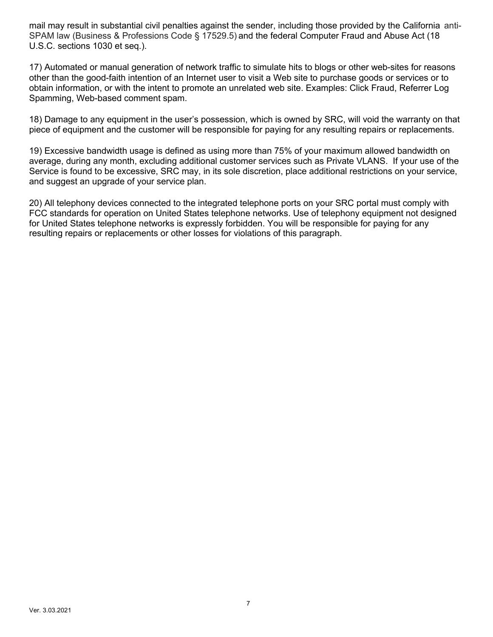mail may result in substantial civil penalties against the sender, including those provided by the California anti-SPAM law (Business & Professions Code § 17529.5) and the federal Computer Fraud and Abuse Act (18 U.S.C. sections 1030 et seq.).

17) Automated or manual generation of network traffic to simulate hits to blogs or other web-sites for reasons other than the good-faith intention of an Internet user to visit a Web site to purchase goods or services or to obtain information, or with the intent to promote an unrelated web site. Examples: Click Fraud, Referrer Log Spamming, Web-based comment spam.

18) Damage to any equipment in the user's possession, which is owned by SRC, will void the warranty on that piece of equipment and the customer will be responsible for paying for any resulting repairs or replacements.

19) Excessive bandwidth usage is defined as using more than 75% of your maximum allowed bandwidth on average, during any month, excluding additional customer services such as Private VLANS. If your use of the Service is found to be excessive, SRC may, in its sole discretion, place additional restrictions on your service, and suggest an upgrade of your service plan.

20) All telephony devices connected to the integrated telephone ports on your SRC portal must comply with FCC standards for operation on United States telephone networks. Use of telephony equipment not designed for United States telephone networks is expressly forbidden. You will be responsible for paying for any resulting repairs or replacements or other losses for violations of this paragraph.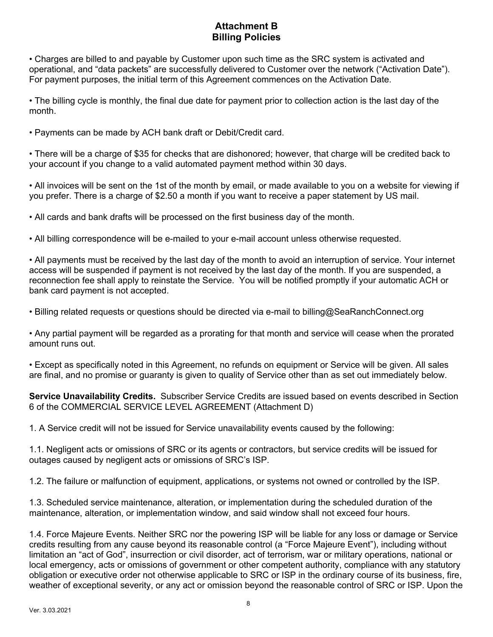### **Attachment B Billing Policies**

• Charges are billed to and payable by Customer upon such time as the SRC system is activated and operational, and "data packets" are successfully delivered to Customer over the network ("Activation Date"). For payment purposes, the initial term of this Agreement commences on the Activation Date.

• The billing cycle is monthly, the final due date for payment prior to collection action is the last day of the month.

• Payments can be made by ACH bank draft or Debit/Credit card.

• There will be a charge of \$35 for checks that are dishonored; however, that charge will be credited back to your account if you change to a valid automated payment method within 30 days.

• All invoices will be sent on the 1st of the month by email, or made available to you on a website for viewing if you prefer. There is a charge of \$2.50 a month if you want to receive a paper statement by US mail.

• All cards and bank drafts will be processed on the first business day of the month.

• All billing correspondence will be e-mailed to your e-mail account unless otherwise requested.

• All payments must be received by the last day of the month to avoid an interruption of service. Your internet access will be suspended if payment is not received by the last day of the month. If you are suspended, a reconnection fee shall apply to reinstate the Service. You will be notified promptly if your automatic ACH or bank card payment is not accepted.

• Billing related requests or questions should be directed via e-mail to billing@SeaRanchConnect.org

• Any partial payment will be regarded as a prorating for that month and service will cease when the prorated amount runs out.

• Except as specifically noted in this Agreement, no refunds on equipment or Service will be given. All sales are final, and no promise or guaranty is given to quality of Service other than as set out immediately below.

**Service Unavailability Credits.** Subscriber Service Credits are issued based on events described in Section 6 of the COMMERCIAL SERVICE LEVEL AGREEMENT (Attachment D)

1. A Service credit will not be issued for Service unavailability events caused by the following:

1.1. Negligent acts or omissions of SRC or its agents or contractors, but service credits will be issued for outages caused by negligent acts or omissions of SRC's ISP.

1.2. The failure or malfunction of equipment, applications, or systems not owned or controlled by the ISP.

1.3. Scheduled service maintenance, alteration, or implementation during the scheduled duration of the maintenance, alteration, or implementation window, and said window shall not exceed four hours.

1.4. Force Majeure Events. Neither SRC nor the powering ISP will be liable for any loss or damage or Service credits resulting from any cause beyond its reasonable control (a "Force Majeure Event"), including without limitation an "act of God", insurrection or civil disorder, act of terrorism, war or military operations, national or local emergency, acts or omissions of government or other competent authority, compliance with any statutory obligation or executive order not otherwise applicable to SRC or ISP in the ordinary course of its business, fire, weather of exceptional severity, or any act or omission beyond the reasonable control of SRC or ISP. Upon the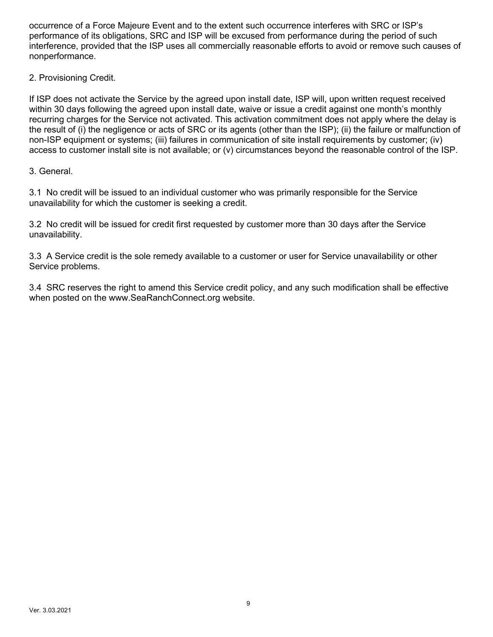occurrence of a Force Majeure Event and to the extent such occurrence interferes with SRC or ISP's performance of its obligations, SRC and ISP will be excused from performance during the period of such interference, provided that the ISP uses all commercially reasonable efforts to avoid or remove such causes of nonperformance.

2. Provisioning Credit.

If ISP does not activate the Service by the agreed upon install date, ISP will, upon written request received within 30 days following the agreed upon install date, waive or issue a credit against one month's monthly recurring charges for the Service not activated. This activation commitment does not apply where the delay is the result of (i) the negligence or acts of SRC or its agents (other than the ISP); (ii) the failure or malfunction of non-ISP equipment or systems; (iii) failures in communication of site install requirements by customer; (iv) access to customer install site is not available; or (v) circumstances beyond the reasonable control of the ISP.

3. General.

3.1 No credit will be issued to an individual customer who was primarily responsible for the Service unavailability for which the customer is seeking a credit.

3.2 No credit will be issued for credit first requested by customer more than 30 days after the Service unavailability.

3.3 A Service credit is the sole remedy available to a customer or user for Service unavailability or other Service problems.

3.4 SRC reserves the right to amend this Service credit policy, and any such modification shall be effective when posted on the www.SeaRanchConnect.org website.